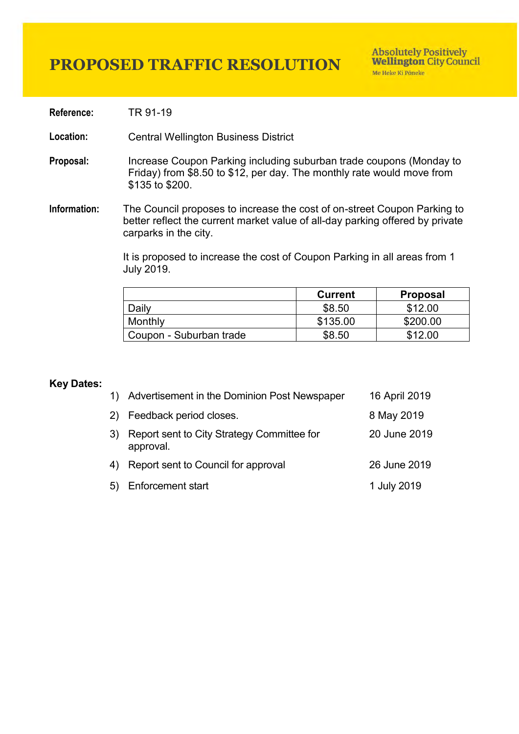**Reference:** TR 91-19

**Location:** Central Wellington Business District

- **Proposal:** Increase Coupon Parking including suburban trade coupons (Monday to Friday) from \$8.50 to \$12, per day. The monthly rate would move from \$135 to \$200.
- **Information:** The Council proposes to increase the cost of on-street Coupon Parking to better reflect the current market value of all-day parking offered by private carparks in the city.

It is proposed to increase the cost of Coupon Parking in [all areas](https://wellington.govt.nz/~/media/services/parking-and-roads/parking/files/coupon-parking-zone-map.pdf?la=en) from 1 July 2019.

|                         | <b>Current</b> | <b>Proposal</b> |
|-------------------------|----------------|-----------------|
| Daily                   | \$8.50         | \$12.00         |
| Monthly                 | \$135.00       | \$200.00        |
| Coupon - Suburban trade | \$8.50         | \$12.00         |

## **Key Dates:**

|          | 1) Advertisement in the Dominion Post Newspaper         | 16 April 2019 |
|----------|---------------------------------------------------------|---------------|
| <b>2</b> | Feedback period closes.                                 | 8 May 2019    |
| 3)       | Report sent to City Strategy Committee for<br>approval. | 20 June 2019  |
| 4)       | Report sent to Council for approval                     | 26 June 2019  |
| 5)       | <b>Enforcement start</b>                                | 1 July 2019   |